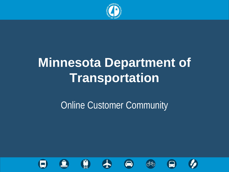

# **Minnesota Department of Transportation**

### **Online Customer Community**













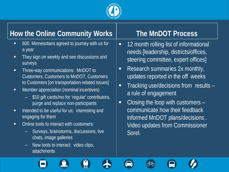

#### **How the Online Community Works**

- 600 Minnesotans agreed to journey with us for a year
- **They sign on weekly and see discussions and** surveys
- **Three-way communications: MnDOT to** Customers, Customers to MnDOT, Customers to Customers [on transportation-related issues]
- **•** Member appreciation (nominal incentives)
	- \$10 gift cards/mo for 'regular' contributors, purge and replace non-participants
- $\blacksquare$  Intended to be useful for us; interesting and engaging for them
- Online tools to interact with customers:
	- Surveys, brainstorms, discussions, live chats, image galleries
	- New tools to interact: video clips, attachments

#### **The MnDOT Process**

- **12 month rolling list of informational** needs [leadership, districts/offices, steering committee, expert offices]
- **Research summaries 2x monthly,** updates reported in the off weeks
- Tracking use/decisions from results a rule of engagement
- Closing the loop with customers communicate how their feedback informed MnDOT plans/decisions . Video updates from Commissioner Sorel.











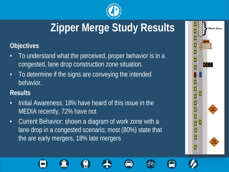

## **Zipper Merge Study Results**

#### **Objectives**

- To understand what the perceived, proper behavior is in a congested, lane drop construction zone situation.
- To determine if the signs are conveying the intended behavior.

#### **Results**

- Initial Awareness: 18% have heard of this issue in the MEDIA recently, 72% have not
- Current Behavior: shown a diagram of work zone with a lane drop in a congested scenario; most (80%) state that the are early mergers, 18% late mergers

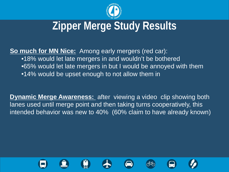

## **Zipper Merge Study Results**

**So much for MN Nice:** Among early mergers (red car): •18% would let late mergers in and wouldn't be bothered •65% would let late mergers in but I would be annoyed with them •14% would be upset enough to not allow them in

**Dynamic Merge Awareness:** after viewing a video clip showing both lanes used until merge point and then taking turns cooperatively, this intended behavior was new to 40% (60% claim to have already known)











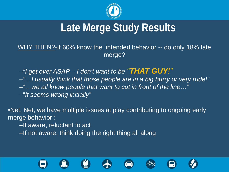

## **Late Merge Study Results**

WHY THEN?-If 60% know the intended behavior -- do only 18% late merge?

–*"I get over ASAP – I don't want to be "THAT GUY!"*

–*"…I usually think that those people are in a big hurry or very rude!"*

–*"…we all know people that want to cut in front of the line…"*

–"*It seems wrong initially"*

•Net, Net, we have multiple issues at play contributing to ongoing early merge behavior :

–If aware, reluctant to act

–If not aware, think doing the right thing all along